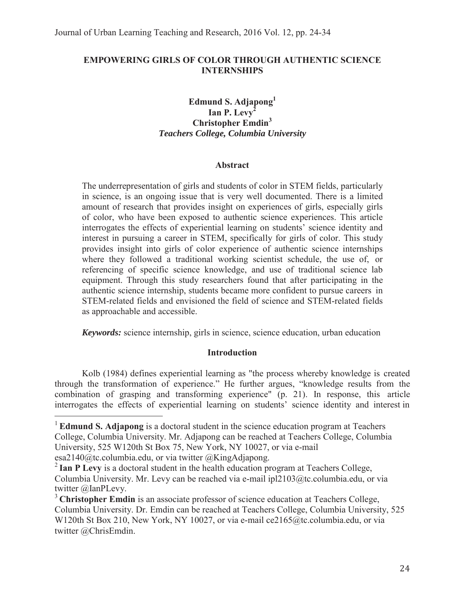# **EMPOWERING GIRLS OF COLOR THROUGH AUTHENTIC SCIENCE INTERNSHIPS**

# **Edmund S. Adjapong1 Ian P. Levy<sup>2</sup> Christopher Emdin<sup>3</sup>** *Teachers College, Columbia University*

## **Abstract**

The underrepresentation of girls and students of color in STEM fields, particularly in science, is an ongoing issue that is very well documented. There is a limited amount of research that provides insight on experiences of girls, especially girls of color, who have been exposed to authentic science experiences. This article interrogates the effects of experiential learning on students' science identity and interest in pursuing a career in STEM, specifically for girls of color. This study provides insight into girls of color experience of authentic science internships where they followed a traditional working scientist schedule, the use of, or referencing of specific science knowledge, and use of traditional science lab equipment. Through this study researchers found that after participating in the authentic science internship, students became more confident to pursue careers in STEM-related fields and envisioned the field of science and STEM-related fields as approachable and accessible.

*Keywords:* science internship, girls in science, science education, urban education

# **Introduction**

Kolb (1984) defines experiential learning as "the process whereby knowledge is created through the transformation of experience." He further argues, "knowledge results from the combination of grasping and transforming experience" (p. 21). In response, this article interrogates the effects of experiential learning on students' science identity and interest in

 $\overline{a}$ 

<sup>1</sup>**Edmund S. Adjapong** is a doctoral student in the science education program at Teachers College, Columbia University. Mr. Adjapong can be reached at Teachers College, Columbia University, 525 W120th St Box 75, New York, NY 10027, or via e-mail esa2140@tc.columbia.edu, or via twitter @KingAdjapong.

<sup>&</sup>lt;sup>2</sup> Ian P Levy is a doctoral student in the health education program at Teachers College, Columbia University. Mr. Levy can be reached via e-mail ipl $2103@$ tc.columbia.edu, or via twitter @IanPLevy.

<sup>&</sup>lt;sup>3</sup> Christopher Emdin is an associate professor of science education at Teachers College, Columbia University. Dr. Emdin can be reached at Teachers College, Columbia University, 525 W120th St Box 210, New York, NY 10027, or via e-mail ce2165@tc.columbia.edu, or via twitter @ChrisEmdin.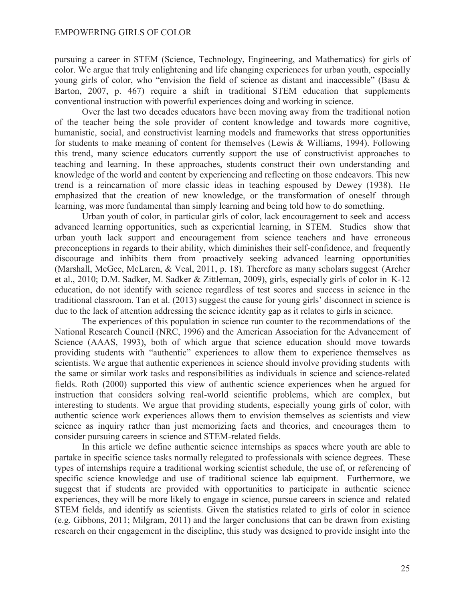pursuing a career in STEM (Science, Technology, Engineering, and Mathematics) for girls of color. We argue that truly enlightening and life changing experiences for urban youth, especially young girls of color, who "envision the field of science as distant and inaccessible" (Basu & Barton, 2007, p. 467) require a shift in traditional STEM education that supplements conventional instruction with powerful experiences doing and working in science.

Over the last two decades educators have been moving away from the traditional notion of the teacher being the sole provider of content knowledge and towards more cognitive, humanistic, social, and constructivist learning models and frameworks that stress opportunities for students to make meaning of content for themselves (Lewis & Williams, 1994). Following this trend, many science educators currently support the use of constructivist approaches to teaching and learning. In these approaches, students construct their own understanding and knowledge of the world and content by experiencing and reflecting on those endeavors. This new trend is a reincarnation of more classic ideas in teaching espoused by Dewey (1938). He emphasized that the creation of new knowledge, or the transformation of oneself through learning, was more fundamental than simply learning and being told how to do something.

Urban youth of color, in particular girls of color, lack encouragement to seek and access advanced learning opportunities, such as experiential learning, in STEM. Studies show that urban youth lack support and encouragement from science teachers and have erroneous preconceptions in regards to their ability, which diminishes their self-confidence, and frequently discourage and inhibits them from proactively seeking advanced learning opportunities (Marshall, McGee, McLaren, & Veal, 2011, p. 18). Therefore as many scholars suggest (Archer et al., 2010; D.M. Sadker, M. Sadker & Zittleman, 2009), girls, especially girls of color in K-12 education, do not identify with science regardless of test scores and success in science in the traditional classroom. Tan et al. (2013) suggest the cause for young girls' disconnect in science is due to the lack of attention addressing the science identity gap as it relates to girls in science.

The experiences of this population in science run counter to the recommendations of the National Research Council (NRC, 1996) and the American Association for the Advancement of Science (AAAS, 1993), both of which argue that science education should move towards providing students with "authentic" experiences to allow them to experience themselves as scientists. We argue that authentic experiences in science should involve providing students with the same or similar work tasks and responsibilities as individuals in science and science-related fields. Roth (2000) supported this view of authentic science experiences when he argued for instruction that considers solving real-world scientific problems, which are complex, but interesting to students. We argue that providing students, especially young girls of color, with authentic science work experiences allows them to envision themselves as scientists and view science as inquiry rather than just memorizing facts and theories, and encourages them to consider pursuing careers in science and STEM-related fields.

In this article we define authentic science internships as spaces where youth are able to partake in specific science tasks normally relegated to professionals with science degrees. These types of internships require a traditional working scientist schedule, the use of, or referencing of specific science knowledge and use of traditional science lab equipment. Furthermore, we suggest that if students are provided with opportunities to participate in authentic science experiences, they will be more likely to engage in science, pursue careers in science and related STEM fields, and identify as scientists. Given the statistics related to girls of color in science (e.g. Gibbons, 2011; Milgram, 2011) and the larger conclusions that can be drawn from existing research on their engagement in the discipline, this study was designed to provide insight into the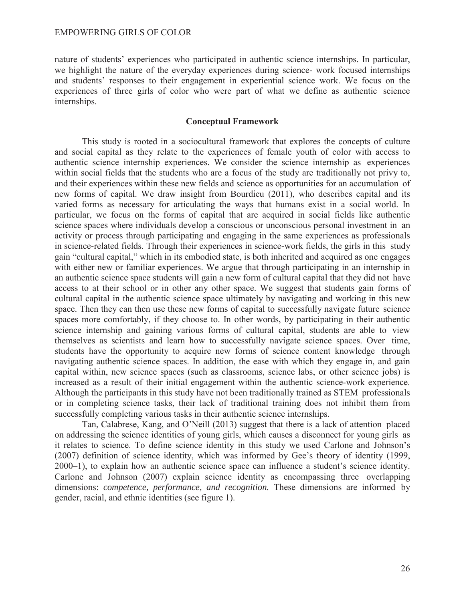nature of students' experiences who participated in authentic science internships. In particular, we highlight the nature of the everyday experiences during science- work focused internships and students' responses to their engagement in experiential science work. We focus on the experiences of three girls of color who were part of what we define as authentic science internships.

# **Conceptual Framework**

This study is rooted in a sociocultural framework that explores the concepts of culture and social capital as they relate to the experiences of female youth of color with access to authentic science internship experiences. We consider the science internship as experiences within social fields that the students who are a focus of the study are traditionally not privy to, and their experiences within these new fields and science as opportunities for an accumulation of new forms of capital. We draw insight from Bourdieu (2011), who describes capital and its varied forms as necessary for articulating the ways that humans exist in a social world. In particular, we focus on the forms of capital that are acquired in social fields like authentic science spaces where individuals develop a conscious or unconscious personal investment in an activity or process through participating and engaging in the same experiences as professionals in science-related fields. Through their experiences in science-work fields, the girls in this study gain "cultural capital," which in its embodied state, is both inherited and acquired as one engages with either new or familiar experiences. We argue that through participating in an internship in an authentic science space students will gain a new form of cultural capital that they did not have access to at their school or in other any other space. We suggest that students gain forms of cultural capital in the authentic science space ultimately by navigating and working in this new space. Then they can then use these new forms of capital to successfully navigate future science spaces more comfortably, if they choose to. In other words, by participating in their authentic science internship and gaining various forms of cultural capital, students are able to view themselves as scientists and learn how to successfully navigate science spaces. Over time, students have the opportunity to acquire new forms of science content knowledge through navigating authentic science spaces. In addition, the ease with which they engage in, and gain capital within, new science spaces (such as classrooms, science labs, or other science jobs) is increased as a result of their initial engagement within the authentic science-work experience. Although the participants in this study have not been traditionally trained as STEM professionals or in completing science tasks, their lack of traditional training does not inhibit them from successfully completing various tasks in their authentic science internships.

Tan, Calabrese, Kang, and O'Neill (2013) suggest that there is a lack of attention placed on addressing the science identities of young girls, which causes a disconnect for young girls as it relates to science. To define science identity in this study we used Carlone and Johnson's (2007) definition of science identity, which was informed by Gee's theory of identity (1999, 2000–1), to explain how an authentic science space can influence a student's science identity. Carlone and Johnson (2007) explain science identity as encompassing three overlapping dimensions: *competence, performance, and recognition.* These dimensions are informed by gender, racial, and ethnic identities (see figure 1).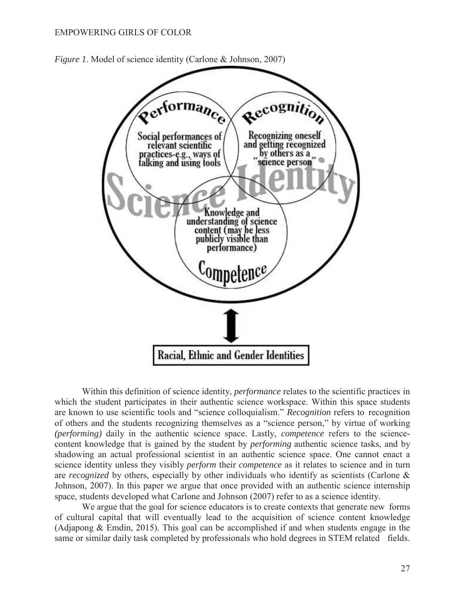

*Figure 1*. Model of science identity (Carlone & Johnson, 2007)

Within this definition of science identity, *performance* relates to the scientific practices in which the student participates in their authentic science workspace. Within this space students are known to use scientific tools and "science colloquialism." *Recognition* refers to recognition of others and the students recognizing themselves as a "science person," by virtue of working *(performing)* daily in the authentic science space. Lastly, *competence* refers to the sciencecontent knowledge that is gained by the student by *performing* authentic science tasks, and by shadowing an actual professional scientist in an authentic science space. One cannot enact a science identity unless they visibly *perform* their *competence* as it relates to science and in turn are *recognized* by others, especially by other individuals who identify as scientists (Carlone & Johnson, 2007). In this paper we argue that once provided with an authentic science internship space, students developed what Carlone and Johnson (2007) refer to as a science identity.

We argue that the goal for science educators is to create contexts that generate new forms of cultural capital that will eventually lead to the acquisition of science content knowledge (Adjapong & Emdin, 2015). This goal can be accomplished if and when students engage in the same or similar daily task completed by professionals who hold degrees in STEM related fields.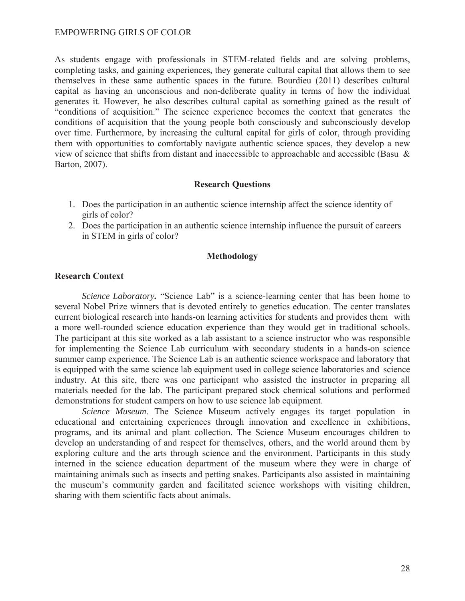As students engage with professionals in STEM-related fields and are solving problems, completing tasks, and gaining experiences, they generate cultural capital that allows them to see themselves in these same authentic spaces in the future. Bourdieu (2011) describes cultural capital as having an unconscious and non-deliberate quality in terms of how the individual generates it. However, he also describes cultural capital as something gained as the result of "conditions of acquisition." The science experience becomes the context that generates the conditions of acquisition that the young people both consciously and subconsciously develop over time. Furthermore, by increasing the cultural capital for girls of color, through providing them with opportunities to comfortably navigate authentic science spaces, they develop a new view of science that shifts from distant and inaccessible to approachable and accessible (Basu & Barton, 2007).

# **Research Questions**

- 1. Does the participation in an authentic science internship affect the science identity of girls of color?
- 2. Does the participation in an authentic science internship influence the pursuit of careers in STEM in girls of color?

# **Methodology**

## **Research Context**

*Science Laboratory*. "Science Lab" is a science-learning center that has been home to several Nobel Prize winners that is devoted entirely to genetics education. The center translates current biological research into hands-on learning activities for students and provides them with a more well-rounded science education experience than they would get in traditional schools. The participant at this site worked as a lab assistant to a science instructor who was responsible for implementing the Science Lab curriculum with secondary students in a hands-on science summer camp experience. The Science Lab is an authentic science workspace and laboratory that is equipped with the same science lab equipment used in college science laboratories and science industry. At this site, there was one participant who assisted the instructor in preparing all materials needed for the lab. The participant prepared stock chemical solutions and performed demonstrations for student campers on how to use science lab equipment.

*Science Museum.* The Science Museum actively engages its target population in educational and entertaining experiences through innovation and excellence in exhibitions, programs, and its animal and plant collection. The Science Museum encourages children to develop an understanding of and respect for themselves, others, and the world around them by exploring culture and the arts through science and the environment. Participants in this study interned in the science education department of the museum where they were in charge of maintaining animals such as insects and petting snakes. Participants also assisted in maintaining the museum's community garden and facilitated science workshops with visiting children, sharing with them scientific facts about animals.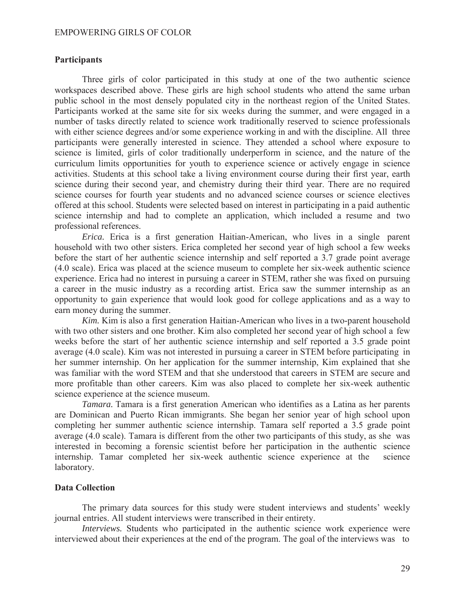# **Participants**

Three girls of color participated in this study at one of the two authentic science workspaces described above. These girls are high school students who attend the same urban public school in the most densely populated city in the northeast region of the United States. Participants worked at the same site for six weeks during the summer, and were engaged in a number of tasks directly related to science work traditionally reserved to science professionals with either science degrees and/or some experience working in and with the discipline. All three participants were generally interested in science. They attended a school where exposure to science is limited, girls of color traditionally underperform in science, and the nature of the curriculum limits opportunities for youth to experience science or actively engage in science activities. Students at this school take a living environment course during their first year, earth science during their second year, and chemistry during their third year. There are no required science courses for fourth year students and no advanced science courses or science electives offered at this school. Students were selected based on interest in participating in a paid authentic science internship and had to complete an application, which included a resume and two professional references.

*Erica.* Erica is a first generation Haitian-American, who lives in a single parent household with two other sisters. Erica completed her second year of high school a few weeks before the start of her authentic science internship and self reported a 3.7 grade point average (4.0 scale). Erica was placed at the science museum to complete her six-week authentic science experience. Erica had no interest in pursuing a career in STEM, rather she was fixed on pursuing a career in the music industry as a recording artist. Erica saw the summer internship as an opportunity to gain experience that would look good for college applications and as a way to earn money during the summer.

*Kim.* Kim is also a first generation Haitian-American who lives in a two-parent household with two other sisters and one brother. Kim also completed her second year of high school a few weeks before the start of her authentic science internship and self reported a 3.5 grade point average (4.0 scale). Kim was not interested in pursuing a career in STEM before participating in her summer internship. On her application for the summer internship, Kim explained that she was familiar with the word STEM and that she understood that careers in STEM are secure and more profitable than other careers. Kim was also placed to complete her six-week authentic science experience at the science museum.

*Tamara.* Tamara is a first generation American who identifies as a Latina as her parents are Dominican and Puerto Rican immigrants. She began her senior year of high school upon completing her summer authentic science internship. Tamara self reported a 3.5 grade point average (4.0 scale). Tamara is different from the other two participants of this study, as she was interested in becoming a forensic scientist before her participation in the authentic science internship. Tamar completed her six-week authentic science experience at the science laboratory.

### **Data Collection**

The primary data sources for this study were student interviews and students' weekly journal entries. All student interviews were transcribed in their entirety.

*Interviews.* Students who participated in the authentic science work experience were interviewed about their experiences at the end of the program. The goal of the interviews was to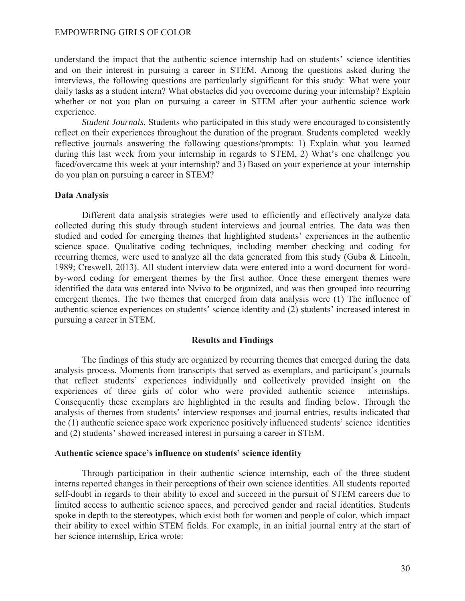understand the impact that the authentic science internship had on students' science identities and on their interest in pursuing a career in STEM. Among the questions asked during the interviews, the following questions are particularly significant for this study: What were your daily tasks as a student intern? What obstacles did you overcome during your internship? Explain whether or not you plan on pursuing a career in STEM after your authentic science work experience.

*Student Journals.* Students who participated in this study were encouraged to consistently reflect on their experiences throughout the duration of the program. Students completed weekly reflective journals answering the following questions/prompts: 1) Explain what you learned during this last week from your internship in regards to STEM, 2) What's one challenge you faced/overcame this week at your internship? and 3) Based on your experience at your internship do you plan on pursuing a career in STEM?

## **Data Analysis**

Different data analysis strategies were used to efficiently and effectively analyze data collected during this study through student interviews and journal entries. The data was then studied and coded for emerging themes that highlighted students' experiences in the authentic science space. Qualitative coding techniques, including member checking and coding for recurring themes, were used to analyze all the data generated from this study (Guba & Lincoln, 1989; Creswell, 2013). All student interview data were entered into a word document for wordby-word coding for emergent themes by the first author. Once these emergent themes were identified the data was entered into Nvivo to be organized, and was then grouped into recurring emergent themes. The two themes that emerged from data analysis were (1) The influence of authentic science experiences on students' science identity and (2) students' increased interest in pursuing a career in STEM.

#### **Results and Findings**

The findings of this study are organized by recurring themes that emerged during the data analysis process. Moments from transcripts that served as exemplars, and participant's journals that reflect students' experiences individually and collectively provided insight on the experiences of three girls of color who were provided authentic science internships. Consequently these exemplars are highlighted in the results and finding below. Through the analysis of themes from students' interview responses and journal entries, results indicated that the (1) authentic science space work experience positively influenced students' science identities and (2) students' showed increased interest in pursuing a career in STEM.

#### **Authentic science space's influence on students' science identity**

Through participation in their authentic science internship, each of the three student interns reported changes in their perceptions of their own science identities. All students reported self-doubt in regards to their ability to excel and succeed in the pursuit of STEM careers due to limited access to authentic science spaces, and perceived gender and racial identities. Students spoke in depth to the stereotypes, which exist both for women and people of color, which impact their ability to excel within STEM fields. For example, in an initial journal entry at the start of her science internship, Erica wrote: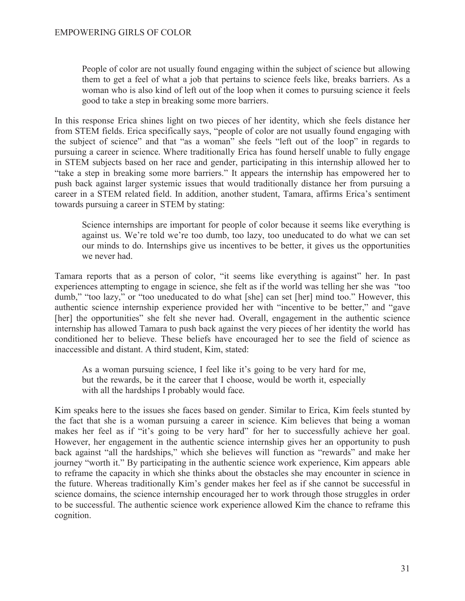People of color are not usually found engaging within the subject of science but allowing them to get a feel of what a job that pertains to science feels like, breaks barriers. As a woman who is also kind of left out of the loop when it comes to pursuing science it feels good to take a step in breaking some more barriers.

In this response Erica shines light on two pieces of her identity, which she feels distance her from STEM fields. Erica specifically says, "people of color are not usually found engaging with the subject of science" and that "as a woman" she feels "left out of the loop" in regards to pursuing a career in science*.* Where traditionally Erica has found herself unable to fully engage in STEM subjects based on her race and gender, participating in this internship allowed her to "take a step in breaking some more barriers." It appears the internship has empowered her to push back against larger systemic issues that would traditionally distance her from pursuing a career in a STEM related field. In addition, another student, Tamara, affirms Erica's sentiment towards pursuing a career in STEM by stating:

Science internships are important for people of color because it seems like everything is against us. We're told we're too dumb, too lazy, too uneducated to do what we can set our minds to do. Internships give us incentives to be better, it gives us the opportunities we never had.

Tamara reports that as a person of color, "it seems like everything is against" her. In past experiences attempting to engage in science, she felt as if the world was telling her she was "too dumb," "too lazy," or "too uneducated to do what [she] can set [her] mind too." However, this authentic science internship experience provided her with "incentive to be better," and "gave [her] the opportunities" she felt she never had. Overall, engagement in the authentic science internship has allowed Tamara to push back against the very pieces of her identity the world has conditioned her to believe. These beliefs have encouraged her to see the field of science as inaccessible and distant. A third student, Kim, stated:

As a woman pursuing science, I feel like it's going to be very hard for me, but the rewards, be it the career that I choose, would be worth it, especially with all the hardships I probably would face*.*

Kim speaks here to the issues she faces based on gender. Similar to Erica, Kim feels stunted by the fact that she is a woman pursuing a career in science. Kim believes that being a woman makes her feel as if "it's going to be very hard" for her to successfully achieve her goal. However, her engagement in the authentic science internship gives her an opportunity to push back against "all the hardships," which she believes will function as "rewards" and make her journey "worth it." By participating in the authentic science work experience, Kim appears able to reframe the capacity in which she thinks about the obstacles she may encounter in science in the future. Whereas traditionally Kim's gender makes her feel as if she cannot be successful in science domains, the science internship encouraged her to work through those struggles in order to be successful. The authentic science work experience allowed Kim the chance to reframe this cognition.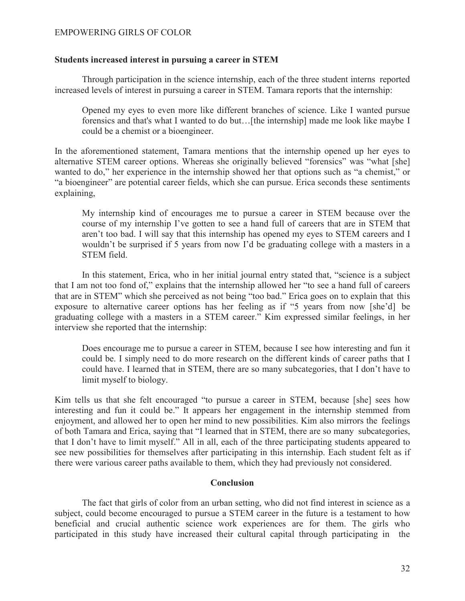### **Students increased interest in pursuing a career in STEM**

Through participation in the science internship, each of the three student interns reported increased levels of interest in pursuing a career in STEM. Tamara reports that the internship:

Opened my eyes to even more like different branches of science. Like I wanted pursue forensics and that's what I wanted to do but…[the internship] made me look like maybe I could be a chemist or a bioengineer.

In the aforementioned statement, Tamara mentions that the internship opened up her eyes to alternative STEM career options. Whereas she originally believed "forensics" was "what [she] wanted to do," her experience in the internship showed her that options such as "a chemist," or "a bioengineer" are potential career fields, which she can pursue. Erica seconds these sentiments explaining,

My internship kind of encourages me to pursue a career in STEM because over the course of my internship I've gotten to see a hand full of careers that are in STEM that aren't too bad. I will say that this internship has opened my eyes to STEM careers and I wouldn't be surprised if 5 years from now I'd be graduating college with a masters in a STEM field.

In this statement, Erica, who in her initial journal entry stated that, "science is a subject that I am not too fond of," explains that the internship allowed her "to see a hand full of careers that are in STEM" which she perceived as not being "too bad." Erica goes on to explain that this exposure to alternative career options has her feeling as if "5 years from now [she'd] be graduating college with a masters in a STEM career." Kim expressed similar feelings, in her interview she reported that the internship:

Does encourage me to pursue a career in STEM, because I see how interesting and fun it could be. I simply need to do more research on the different kinds of career paths that I could have. I learned that in STEM, there are so many subcategories, that I don't have to limit myself to biology.

Kim tells us that she felt encouraged "to pursue a career in STEM, because [she] sees how interesting and fun it could be." It appears her engagement in the internship stemmed from enjoyment, and allowed her to open her mind to new possibilities. Kim also mirrors the feelings of both Tamara and Erica, saying that "I learned that in STEM, there are so many subcategories, that I don't have to limit myself." All in all, each of the three participating students appeared to see new possibilities for themselves after participating in this internship. Each student felt as if there were various career paths available to them, which they had previously not considered.

# **Conclusion**

The fact that girls of color from an urban setting, who did not find interest in science as a subject, could become encouraged to pursue a STEM career in the future is a testament to how beneficial and crucial authentic science work experiences are for them. The girls who participated in this study have increased their cultural capital through participating in the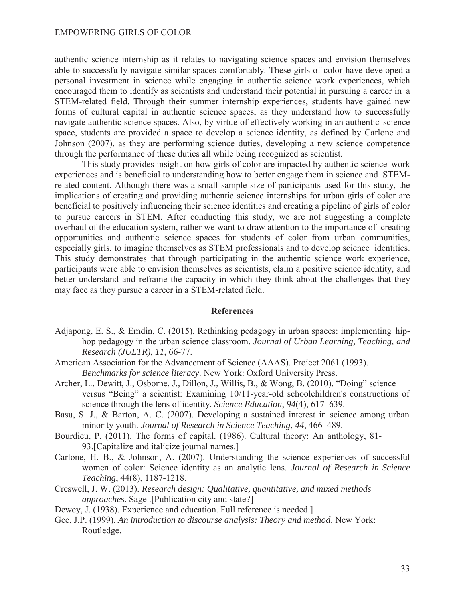authentic science internship as it relates to navigating science spaces and envision themselves able to successfully navigate similar spaces comfortably. These girls of color have developed a personal investment in science while engaging in authentic science work experiences, which encouraged them to identify as scientists and understand their potential in pursuing a career in a STEM-related field. Through their summer internship experiences, students have gained new forms of cultural capital in authentic science spaces, as they understand how to successfully navigate authentic science spaces. Also, by virtue of effectively working in an authentic science space, students are provided a space to develop a science identity, as defined by Carlone and Johnson (2007), as they are performing science duties, developing a new science competence through the performance of these duties all while being recognized as scientist.

This study provides insight on how girls of color are impacted by authentic science work experiences and is beneficial to understanding how to better engage them in science and STEMrelated content. Although there was a small sample size of participants used for this study, the implications of creating and providing authentic science internships for urban girls of color are beneficial to positively influencing their science identities and creating a pipeline of girls of color to pursue careers in STEM. After conducting this study, we are not suggesting a complete overhaul of the education system, rather we want to draw attention to the importance of creating opportunities and authentic science spaces for students of color from urban communities, especially girls, to imagine themselves as STEM professionals and to develop science identities. This study demonstrates that through participating in the authentic science work experience, participants were able to envision themselves as scientists, claim a positive science identity, and better understand and reframe the capacity in which they think about the challenges that they may face as they pursue a career in a STEM-related field.

### **References**

- Adjapong, E. S., & Emdin, C. (2015). Rethinking pedagogy in urban spaces: implementing hiphop pedagogy in the urban science classroom. *Journal of Urban Learning, Teaching, and Research (JULTR)*, *11*, 66-77.
- American Association for the Advancement of Science (AAAS). Project 2061 (1993). *Benchmarks for science literacy*. New York: Oxford University Press.
- Archer, L., Dewitt, J., Osborne, J., Dillon, J., Willis, B., & Wong, B. (2010). "Doing" science versus "Being" a scientist: Examining 10/11-year-old schoolchildren's constructions of science through the lens of identity. *Science Education*, *94*(4), 617–639.
- Basu, S. J., & Barton, A. C. (2007). Developing a sustained interest in science among urban minority youth. *Journal of Research in Science Teaching*, *44*, 466–489.
- Bourdieu, P. (2011). The forms of capital. (1986). Cultural theory: An anthology, 81- 93.[Capitalize and italicize journal names.]
- Carlone, H. B., & Johnson, A. (2007). Understanding the science experiences of successful women of color: Science identity as an analytic lens. *Journal of Research in Science Teaching*, 44(8), 1187-1218.
- Creswell, J. W. (2013). *Research design: Qualitative, quantitative, and mixed methods approaches*. Sage .[Publication city and state?]
- Dewey, J. (1938). Experience and education. Full reference is needed.]
- Gee, J.P. (1999). *An introduction to discourse analysis: Theory and method*. New York: Routledge.